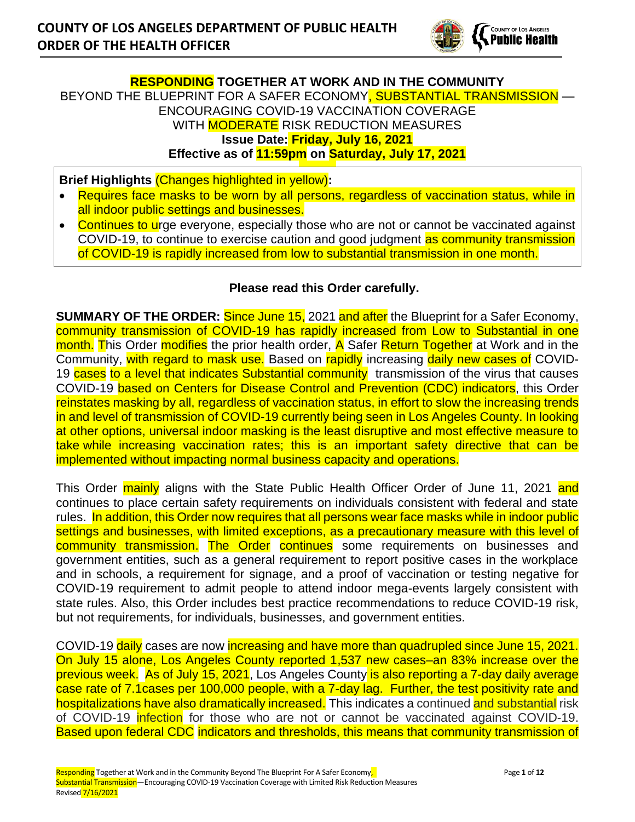

## **RESPONDING TOGETHER AT WORK AND IN THE COMMUNITY** BEYOND THE BLUEPRINT FOR A SAFER ECONOMY, SUBSTANTIAL TRANSMISSION — ENCOURAGING COVID-19 VACCINATION COVERAGE WITH **MODERATE** RISK REDUCTION MEASURES **Issue Date: Friday, July 16, 2021 Effective as of 11:59pm on Saturday, July 17, 2021**

**Brief Highlights** (Changes highlighted in yellow)**:**

- Requires face masks to be worn by all persons, regardless of vaccination status, while in all indoor public settings and businesses.
- Continues to urge everyone, especially those who are not or cannot be vaccinated against COVID-19, to continue to exercise caution and good judgment as community transmission of COVID-19 is rapidly increased from low to substantial transmission in one month.

#### **Please read this Order carefully.**

**SUMMARY OF THE ORDER:** Since June 15, 2021 and after the Blueprint for a Safer Economy, community transmission of COVID-19 has rapidly increased from Low to Substantial in one month. This Order modifies the prior health order, A Safer Return Together at Work and in the Community, with regard to mask use. Based on rapidly increasing daily new cases of COVID-19 cases to a level that indicates Substantial community transmission of the virus that causes COVID-19 based on Centers for Disease Control and Prevention (CDC) indicators, this Order reinstates masking by all, regardless of vaccination status, in effort to slow the increasing trends in and level of transmission of COVID-19 currently being seen in Los Angeles County. In looking at other options, universal indoor masking is the least disruptive and most effective measure to take while increasing vaccination rates; this is an important safety directive that can be implemented without impacting normal business capacity and operations.

This Order mainly aligns with the State Public Health Officer Order of June 11, 2021 and continues to place certain safety requirements on individuals consistent with federal and state rules. In addition, this Order now requires that all persons wear face masks while in indoor public settings and businesses, with limited exceptions, as a precautionary measure with this level of community transmission. The Order continues some requirements on businesses and government entities, such as a general requirement to report positive cases in the workplace and in schools, a requirement for signage, and a proof of vaccination or testing negative for COVID-19 requirement to admit people to attend indoor mega-events largely consistent with state rules. Also, this Order includes best practice recommendations to reduce COVID-19 risk, but not requirements, for individuals, businesses, and government entities.

COVID-19 daily cases are now increasing and have more than quadrupled since June 15, 2021. On July 15 alone, Los Angeles County reported 1,537 new cases–an 83% increase over the previous week. As of July 15, 2021, Los Angeles County is also reporting a 7-day daily average case rate of 7.1cases per 100,000 people, with a 7-day lag. Further, the test positivity rate and hospitalizations have also dramatically increased. This indicates a continued and substantial risk of COVID-19 **infection** for those who are not or cannot be vaccinated against COVID-19. Based upon federal CDC indicators and thresholds, this means that community transmission of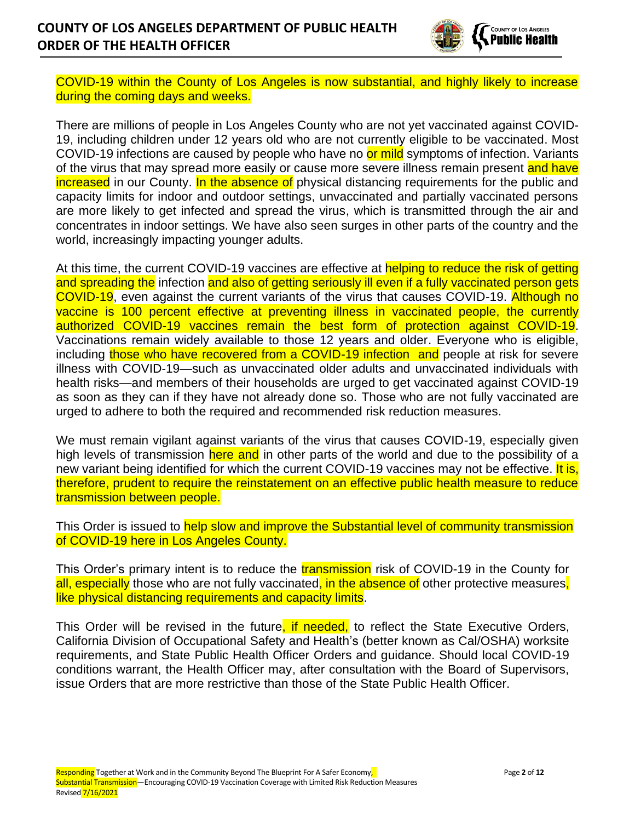

COVID-19 within the County of Los Angeles is now substantial, and highly likely to increase during the coming days and weeks.

There are millions of people in Los Angeles County who are not yet vaccinated against COVID-19, including children under 12 years old who are not currently eligible to be vaccinated. Most COVID-19 infections are caused by people who have no or mild symptoms of infection. Variants of the virus that may spread more easily or cause more severe illness remain present and have increased in our County. In the absence of physical distancing requirements for the public and capacity limits for indoor and outdoor settings, unvaccinated and partially vaccinated persons are more likely to get infected and spread the virus, which is transmitted through the air and concentrates in indoor settings. We have also seen surges in other parts of the country and the world, increasingly impacting younger adults.

At this time, the current COVID-19 vaccines are effective at helping to reduce the risk of getting and spreading the infection and also of getting seriously ill even if a fully vaccinated person gets COVID-19, even against the current variants of the virus that causes COVID-19. Although no vaccine is 100 percent effective at preventing illness in vaccinated people, the currently authorized COVID-19 vaccines remain the best form of protection against COVID-19. Vaccinations remain widely available to those 12 years and older. Everyone who is eligible, including those who have recovered from a COVID-19 infection and people at risk for severe illness with COVID-19—such as unvaccinated older adults and unvaccinated individuals with health risks—and members of their households are urged to get vaccinated against COVID-19 as soon as they can if they have not already done so. Those who are not fully vaccinated are urged to adhere to both the required and recommended risk reduction measures.

We must remain vigilant against variants of the virus that causes COVID-19, especially given high levels of transmission here and in other parts of the world and due to the possibility of a new variant being identified for which the current COVID-19 vaccines may not be effective. It is, therefore, prudent to require the reinstatement on an effective public health measure to reduce transmission between people.

This Order is issued to help slow and improve the Substantial level of community transmission of COVID-19 here in Los Angeles County.

This Order's primary intent is to reduce the **transmission** risk of COVID-19 in the County for all, especially those who are not fully vaccinated, in the absence of other protective measures, like physical distancing requirements and capacity limits.

This Order will be revised in the future, if needed, to reflect the State Executive Orders, California Division of Occupational Safety and Health's (better known as Cal/OSHA) worksite requirements, and State Public Health Officer Orders and guidance. Should local COVID-19 conditions warrant, the Health Officer may, after consultation with the Board of Supervisors, issue Orders that are more restrictive than those of the State Public Health Officer.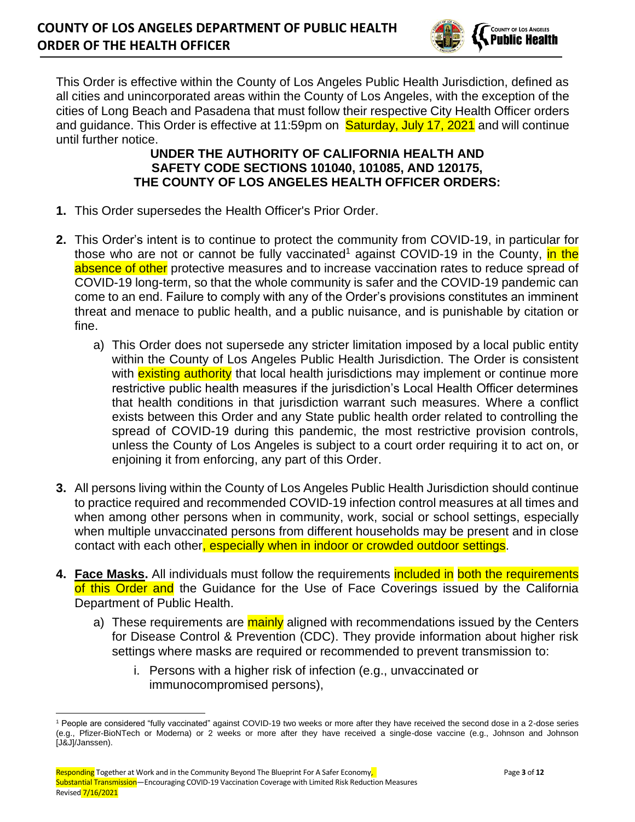

This Order is effective within the County of Los Angeles Public Health Jurisdiction, defined as all cities and unincorporated areas within the County of Los Angeles, with the exception of the cities of Long Beach and Pasadena that must follow their respective City Health Officer orders and guidance. This Order is effective at 11:59pm on **Saturday, July 17, 2021** and will continue until further notice.

## **UNDER THE AUTHORITY OF CALIFORNIA HEALTH AND SAFETY CODE SECTIONS 101040, 101085, AND 120175, THE COUNTY OF LOS ANGELES HEALTH OFFICER ORDERS:**

- **1.** This Order supersedes the Health Officer's Prior Order.
- **2.** This Order's intent is to continue to protect the community from COVID-19, in particular for those who are not or cannot be fully vaccinated<sup>1</sup> against COVID-19 in the County, in the absence of other protective measures and to increase vaccination rates to reduce spread of COVID-19 long-term, so that the whole community is safer and the COVID-19 pandemic can come to an end. Failure to comply with any of the Order's provisions constitutes an imminent threat and menace to public health, and a public nuisance, and is punishable by citation or fine.
	- a) This Order does not supersede any stricter limitation imposed by a local public entity within the County of Los Angeles Public Health Jurisdiction. The Order is consistent with **existing authority** that local health jurisdictions may implement or continue more restrictive public health measures if the jurisdiction's Local Health Officer determines that health conditions in that jurisdiction warrant such measures. Where a conflict exists between this Order and any State public health order related to controlling the spread of COVID-19 during this pandemic, the most restrictive provision controls, unless the County of Los Angeles is subject to a court order requiring it to act on, or enjoining it from enforcing, any part of this Order.
- **3.** All persons living within the County of Los Angeles Public Health Jurisdiction should continue to practice required and recommended COVID-19 infection control measures at all times and when among other persons when in community, work, social or school settings, especially when multiple unvaccinated persons from different households may be present and in close contact with each other, especially when in indoor or crowded outdoor settings.
- **4. Face Masks.** All individuals must follow the requirements included in both the requirements of this Order and the Guidance for the Use of Face Coverings issued by the California Department of Public Health.
	- a) These requirements are mainly aligned with recommendations issued by the Centers for Disease Control & Prevention (CDC). They provide information about higher risk settings where masks are required or recommended to prevent transmission to:
		- i. Persons with a higher risk of infection (e.g., unvaccinated or immunocompromised persons),

<sup>1</sup> People are considered "fully vaccinated" against COVID-19 two weeks or more after they have received the second dose in a 2-dose series (e.g., Pfizer-BioNTech or Moderna) or 2 weeks or more after they have received a single-dose vaccine (e.g., Johnson and Johnson [J&J]/Janssen).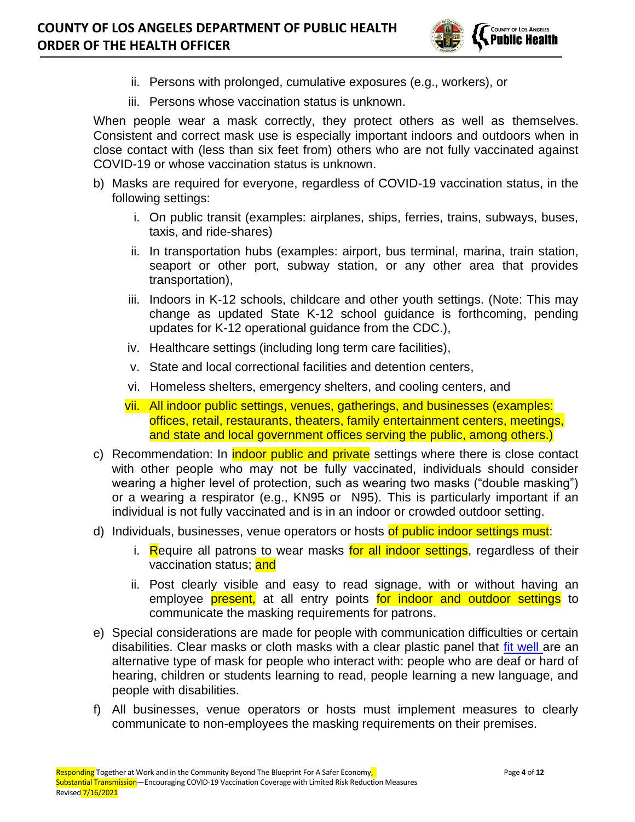

- ii. Persons with prolonged, cumulative exposures (e.g., workers), or
- iii. Persons whose vaccination status is unknown.

When people wear a mask correctly, they protect others as well as themselves. Consistent and correct mask use is especially important indoors and outdoors when in close contact with (less than six feet from) others who are not fully vaccinated against COVID-19 or whose vaccination status is unknown.

- b) Masks are required for everyone, regardless of COVID-19 vaccination status, in the following settings:
	- i. On public transit (examples: airplanes, ships, ferries, trains, subways, buses, taxis, and ride-shares)
	- ii. In transportation hubs (examples: airport, bus terminal, marina, train station, seaport or other port, subway station, or any other area that provides transportation),
	- iii. Indoors in K-12 schools, childcare and other youth settings. (Note: This may change as updated State K-12 school guidance is forthcoming, pending updates for K-12 operational guidance from the CDC.),
	- iv. Healthcare settings (including long term care facilities),
	- v. State and local correctional facilities and detention centers,
	- vi. Homeless shelters, emergency shelters, and cooling centers, and
	- vii. All indoor public settings, venues, gatherings, and businesses (examples: offices, retail, restaurants, theaters, family entertainment centers, meetings, and state and local government offices serving the public, among others.)
- c) Recommendation: In *indoor public and private* settings where there is close contact with other people who may not be fully vaccinated, individuals should consider wearing a higher level of protection, such as wearing two masks ("double masking") or a wearing a respirator (e.g., KN95 or N95). This is particularly important if an individual is not fully vaccinated and is in an indoor or crowded outdoor setting.
- d) Individuals, businesses, venue operators or hosts of public indoor settings must:
	- i. Require all patrons to wear masks for all indoor settings, regardless of their vaccination status; and
	- ii. Post clearly visible and easy to read signage, with or without having an employee **present**, at all entry points for indoor and outdoor settings to communicate the masking requirements for patrons.
- e) Special considerations are made for people with communication difficulties or certain disabilities. Clear masks or cloth masks with a clear plastic panel that [fit well a](http://publichealth.lacounty.gov/acd/ncorona2019/masks/#howtowear)re an alternative type of mask for people who interact with: people who are deaf or hard of hearing, children or students learning to read, people learning a new language, and people with disabilities.
- f) All businesses, venue operators or hosts must implement measures to clearly communicate to non-employees the masking requirements on their premises.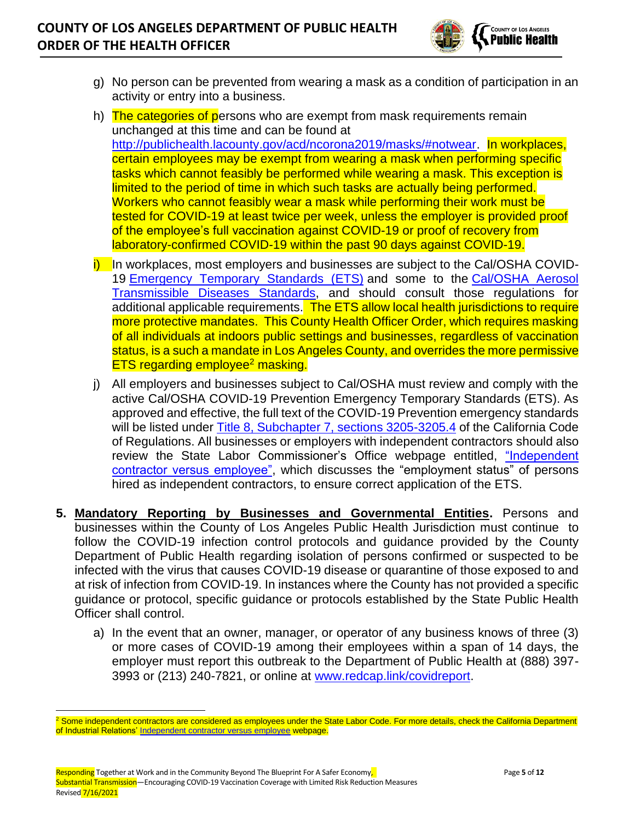

- g) No person can be prevented from wearing a mask as a condition of participation in an activity or entry into a business.
- h) The categories of persons who are exempt from mask requirements remain unchanged at this time and can be found at [http://publichealth.lacounty.gov/acd/ncorona2019/masks/#notwear.](http://publichealth.lacounty.gov/acd/ncorona2019/masks/#notwear) In workplaces, certain employees may be exempt from wearing a mask when performing specific tasks which cannot feasibly be performed while wearing a mask. This exception is limited to the period of time in which such tasks are actually being performed. Workers who cannot feasibly wear a mask while performing their work must be tested for COVID-19 at least twice per week, unless the employer is provided proof of the employee's full vaccination against COVID-19 or proof of recovery from laboratory-confirmed COVID-19 within the past 90 days against COVID-19.
- $\overline{I}$  In workplaces, most employers and businesses are subject to the Cal/OSHA COVID-19 [Emergency Temporary Standards \(ETS\)](https://www.dir.ca.gov/dosh/coronavirus/ETS.html) and some to the Cal/OSHA Aerosol [Transmissible Diseases Standards,](https://www.dir.ca.gov/dosh/dosh_publications/ATD-Guide.pdf) and should consult those regulations for additional applicable requirements. The ETS allow local health jurisdictions to require more protective mandates. This County Health Officer Order, which requires masking of all individuals at indoors public settings and businesses, regardless of vaccination status, is a such a mandate in Los Angeles County, and overrides the more permissive ETS regarding employee<sup>2</sup> masking.
- j) All employers and businesses subject to Cal/OSHA must review and comply with the active Cal/OSHA COVID-19 Prevention Emergency Temporary Standards (ETS). As approved and effective, the full text of the COVID-19 Prevention emergency standards will be listed under [Title 8, Subchapter 7,](https://www.dir.ca.gov/Title8/sb7intro.html) sections 3205-3205.4 of the California Code of Regulations. All businesses or employers with independent contractors should also review the State Labor Commissioner's Office webpage entitled, "Independent [contractor versus employee",](https://www.dir.ca.gov/dlse/faq_independentcontractor.htm) which discusses the "employment status" of persons hired as independent contractors, to ensure correct application of the ETS.
- **5. Mandatory Reporting by Businesses and Governmental Entities.** Persons and businesses within the County of Los Angeles Public Health Jurisdiction must continue to follow the COVID-19 infection control protocols and guidance provided by the County Department of Public Health regarding isolation of persons confirmed or suspected to be infected with the virus that causes COVID-19 disease or quarantine of those exposed to and at risk of infection from COVID-19. In instances where the County has not provided a specific guidance or protocol, specific guidance or protocols established by the State Public Health Officer shall control.
	- a) In the event that an owner, manager, or operator of any business knows of three (3) or more cases of COVID-19 among their employees within a span of 14 days, the employer must report this outbreak to the Department of Public Health at (888) 397- 3993 or (213) 240-7821, or online at [www.redcap.link/covidreport.](http://www.redcap.link/covidreport)

<sup>&</sup>lt;sup>2</sup> Some independent contractors are considered as employees under the State Labor Code. For more details, check the California Department of Industrial Relations' [Independent contractor versus employee](https://www.dir.ca.gov/dlse/faq_independentcontractor.htm) webpage.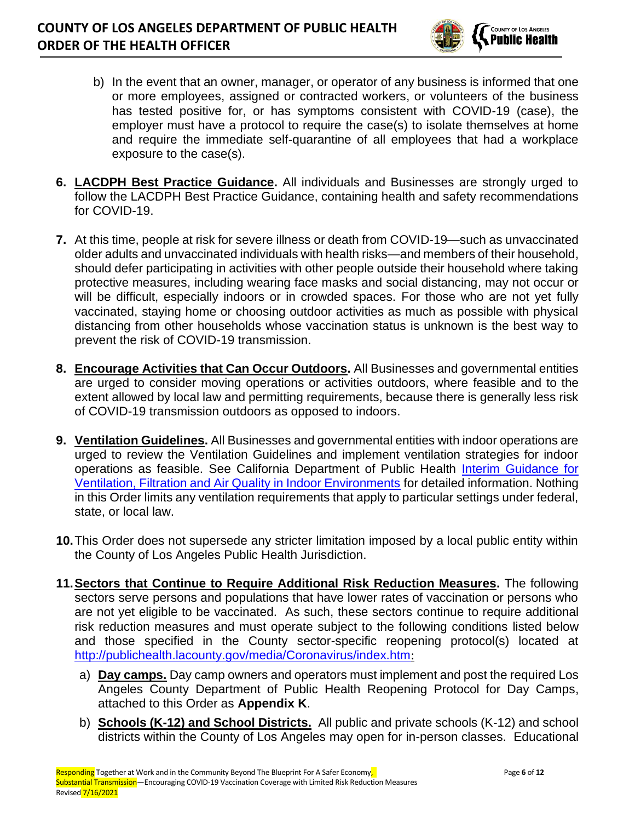

- b) In the event that an owner, manager, or operator of any business is informed that one or more employees, assigned or contracted workers, or volunteers of the business has tested positive for, or has symptoms consistent with COVID-19 (case), the employer must have a protocol to require the case(s) to isolate themselves at home and require the immediate self-quarantine of all employees that had a workplace exposure to the case(s).
- **6. LACDPH Best Practice Guidance.** All individuals and Businesses are strongly urged to follow the LACDPH Best Practice Guidance, containing health and safety recommendations for COVID-19.
- **7.** At this time, people at risk for severe illness or death from COVID-19—such as unvaccinated older adults and unvaccinated individuals with health risks—and members of their household, should defer participating in activities with other people outside their household where taking protective measures, including wearing face masks and social distancing, may not occur or will be difficult, especially indoors or in crowded spaces. For those who are not yet fully vaccinated, staying home or choosing outdoor activities as much as possible with physical distancing from other households whose vaccination status is unknown is the best way to prevent the risk of COVID-19 transmission.
- **8. Encourage Activities that Can Occur Outdoors.** All Businesses and governmental entities are urged to consider moving operations or activities outdoors, where feasible and to the extent allowed by local law and permitting requirements, because there is generally less risk of COVID-19 transmission outdoors as opposed to indoors.
- **9. Ventilation Guidelines.** All Businesses and governmental entities with indoor operations are urged to review the Ventilation Guidelines and implement ventilation strategies for indoor operations as feasible. See California Department of Public Health [Interim Guidance for](https://www.cdph.ca.gov/Programs/CID/DCDC/Pages/COVID-19/Interim-Guidance-for-Ventilation-Filtration-and-Air-Quality-in-Indoor-Environments.aspx)  [Ventilation, Filtration and Air Quality in Indoor Environments](https://www.cdph.ca.gov/Programs/CID/DCDC/Pages/COVID-19/Interim-Guidance-for-Ventilation-Filtration-and-Air-Quality-in-Indoor-Environments.aspx) for detailed information. Nothing in this Order limits any ventilation requirements that apply to particular settings under federal, state, or local law.
- **10.**This Order does not supersede any stricter limitation imposed by a local public entity within the County of Los Angeles Public Health Jurisdiction.
- **11.Sectors that Continue to Require Additional Risk Reduction Measures.** The following sectors serve persons and populations that have lower rates of vaccination or persons who are not yet eligible to be vaccinated. As such, these sectors continue to require additional risk reduction measures and must operate subject to the following conditions listed below and those specified in the County sector-specific reopening protocol(s) located at <http://publichealth.lacounty.gov/media/Coronavirus/index.htm>:
	- a) **Day camps.** Day camp owners and operators must implement and post the required Los Angeles County Department of Public Health Reopening Protocol for Day Camps, attached to this Order as **Appendix K**.
	- b) **Schools (K-12) and School Districts.** All public and private schools (K-12) and school districts within the County of Los Angeles may open for in-person classes. Educational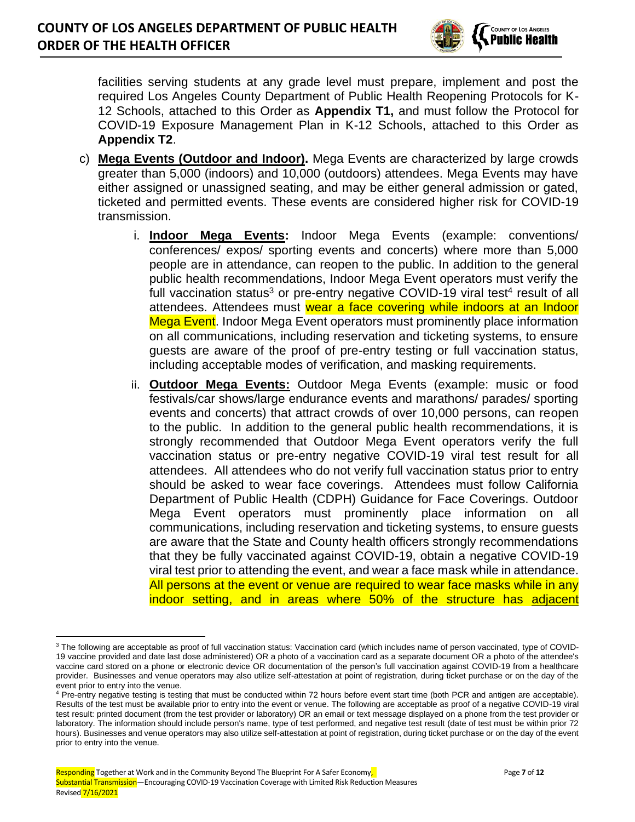

facilities serving students at any grade level must prepare, implement and post the required Los Angeles County Department of Public Health Reopening Protocols for K-12 Schools, attached to this Order as **Appendix T1,** and must follow the Protocol for COVID-19 Exposure Management Plan in K-12 Schools, attached to this Order as **Appendix T2**.

- c) **Mega Events (Outdoor and Indoor).** Mega Events are characterized by large crowds greater than 5,000 (indoors) and 10,000 (outdoors) attendees. Mega Events may have either assigned or unassigned seating, and may be either general admission or gated, ticketed and permitted events. These events are considered higher risk for COVID-19 transmission.
	- i. **Indoor Mega Events:** Indoor Mega Events (example: conventions/ conferences/ expos/ sporting events and concerts) where more than 5,000 people are in attendance, can reopen to the public. In addition to the general public health recommendations, Indoor Mega Event operators must verify the full vaccination status<sup>3</sup> or pre-entry negative COVID-19 viral test<sup>4</sup> result of all attendees. Attendees must wear a face covering while indoors at an Indoor Mega Event. Indoor Mega Event operators must prominently place information on all communications, including reservation and ticketing systems, to ensure guests are aware of the proof of pre-entry testing or full vaccination status, including acceptable modes of verification, and masking requirements.
	- ii. **Outdoor Mega Events:** Outdoor Mega Events (example: music or food festivals/car shows/large endurance events and marathons/ parades/ sporting events and concerts) that attract crowds of over 10,000 persons, can reopen to the public. In addition to the general public health recommendations, it is strongly recommended that Outdoor Mega Event operators verify the full vaccination status or pre-entry negative COVID-19 viral test result for all attendees. All attendees who do not verify full vaccination status prior to entry should be asked to wear face coverings. Attendees must follow California Department of Public Health (CDPH) Guidance for Face Coverings. Outdoor Mega Event operators must prominently place information on all communications, including reservation and ticketing systems, to ensure guests are aware that the State and County health officers strongly recommendations that they be fully vaccinated against COVID-19, obtain a negative COVID-19 viral test prior to attending the event, and wear a face mask while in attendance. All persons at the event or venue are required to wear face masks while in any indoor setting, and in areas where 50% of the structure has adjacent

<sup>&</sup>lt;sup>3</sup> The following are acceptable as proof of full vaccination status: Vaccination card (which includes name of person vaccinated, type of COVID-19 vaccine provided and date last dose administered) OR a photo of a vaccination card as a separate document OR a photo of the attendee's vaccine card stored on a phone or electronic device OR documentation of the person's full vaccination against COVID-19 from a healthcare provider. Businesses and venue operators may also utilize self-attestation at point of registration, during ticket purchase or on the day of the event prior to entry into the venue.

<sup>4</sup> Pre-entry negative testing is testing that must be conducted within 72 hours before event start time (both PCR and antigen are acceptable). Results of the test must be available prior to entry into the event or venue. The following are acceptable as proof of a negative COVID-19 viral test result: printed document (from the test provider or laboratory) OR an email or text message displayed on a phone from the test provider or laboratory. The information should include person's name, type of test performed, and negative test result (date of test must be within prior 72 hours). Businesses and venue operators may also utilize self-attestation at point of registration, during ticket purchase or on the day of the event prior to entry into the venue.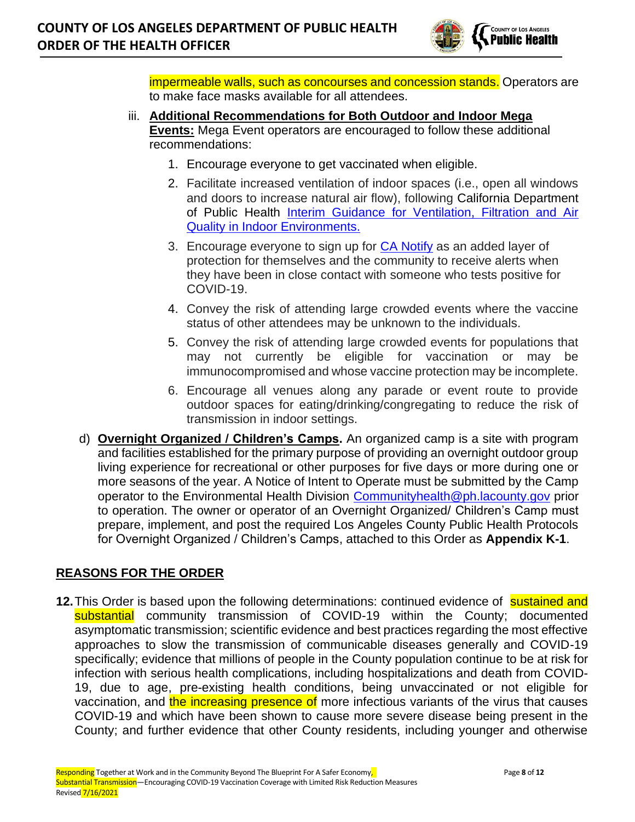

impermeable walls, such as concourses and concession stands. Operators are to make face masks available for all attendees.

- iii. **Additional Recommendations for Both Outdoor and Indoor Mega Events:** Mega Event operators are encouraged to follow these additional recommendations:
	- 1. Encourage everyone to get vaccinated when eligible.
	- 2. Facilitate increased ventilation of indoor spaces (i.e., open all windows and doors to increase natural air flow), following California Department of Public Health [Interim Guidance for Ventilation, Filtration and Air](https://www.cdph.ca.gov/Programs/CID/DCDC/Pages/COVID-19/Interim-Guidance-for-Ventilation-Filtration-and-Air-Quality-in-Indoor-Environments.aspx)  [Quality in Indoor Environments.](https://www.cdph.ca.gov/Programs/CID/DCDC/Pages/COVID-19/Interim-Guidance-for-Ventilation-Filtration-and-Air-Quality-in-Indoor-Environments.aspx)
	- 3. Encourage everyone to sign up for [CA Notify](https://canotify.ca.gov/#section2) as an added layer of protection for themselves and the community to receive alerts when they have been in close contact with someone who tests positive for COVID-19.
	- 4. Convey the risk of attending large crowded events where the vaccine status of other attendees may be unknown to the individuals.
	- 5. Convey the risk of attending large crowded events for populations that may not currently be eligible for vaccination or may be immunocompromised and whose vaccine protection may be incomplete.
	- 6. Encourage all venues along any parade or event route to provide outdoor spaces for eating/drinking/congregating to reduce the risk of transmission in indoor settings.
- d) **Overnight Organized / Children's Camps.** An organized camp is a site with program and facilities established for the primary purpose of providing an overnight outdoor group living experience for recreational or other purposes for five days or more during one or more seasons of the year. A Notice of Intent to Operate must be submitted by the Camp operator to the Environmental Health Division [Communityhealth@ph.lacounty.gov](mailto:Communityhealth@ph.lacounty.gov) prior to operation. The owner or operator of an Overnight Organized/ Children's Camp must prepare, implement, and post the required Los Angeles County Public Health Protocols for Overnight Organized / Children's Camps, attached to this Order as **Appendix K-1**.

## **REASONS FOR THE ORDER**

**12.** This Order is based upon the following determinations: continued evidence of sustained and substantial community transmission of COVID-19 within the County; documented asymptomatic transmission; scientific evidence and best practices regarding the most effective approaches to slow the transmission of communicable diseases generally and COVID-19 specifically; evidence that millions of people in the County population continue to be at risk for infection with serious health complications, including hospitalizations and death from COVID-19, due to age, pre-existing health conditions, being unvaccinated or not eligible for vaccination, and the increasing presence of more infectious variants of the virus that causes COVID-19 and which have been shown to cause more severe disease being present in the County; and further evidence that other County residents, including younger and otherwise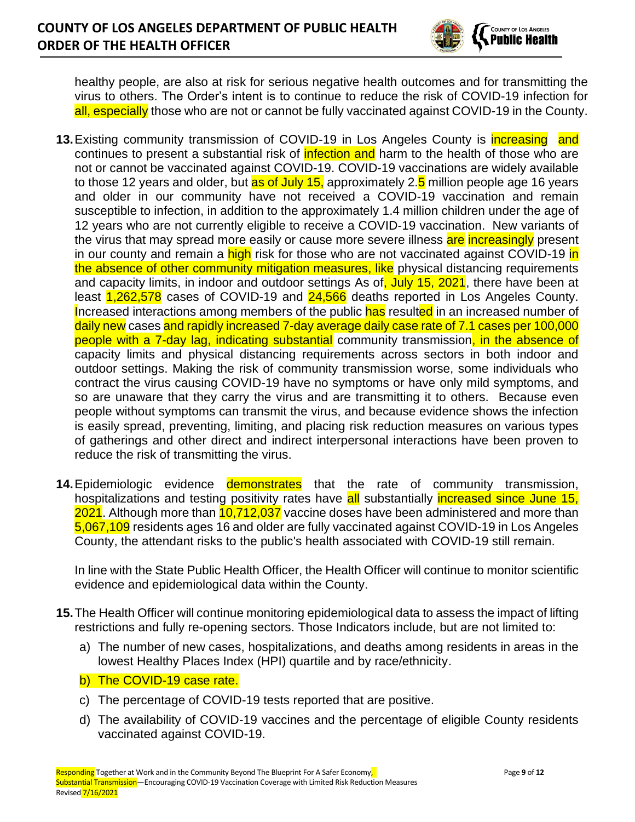

healthy people, are also at risk for serious negative health outcomes and for transmitting the virus to others. The Order's intent is to continue to reduce the risk of COVID-19 infection for all, especially those who are not or cannot be fully vaccinated against COVID-19 in the County.

- **13.**Existing community transmission of COVID-19 in Los Angeles County is increasing and continues to present a substantial risk of **infection and** harm to the health of those who are not or cannot be vaccinated against COVID-19. COVID-19 vaccinations are widely available to those 12 years and older, but as of July 15, approximately 2.5 million people age 16 years and older in our community have not received a COVID-19 vaccination and remain susceptible to infection, in addition to the approximately 1.4 million children under the age of 12 years who are not currently eligible to receive a COVID-19 vaccination. New variants of the virus that may spread more easily or cause more severe illness are increasingly present in our county and remain a high risk for those who are not vaccinated against COVID-19 in the absence of other community mitigation measures, like physical distancing requirements and capacity limits, in indoor and outdoor settings As of, July 15, 2021, there have been at least 1,262,578 cases of COVID-19 and 24,566 deaths reported in Los Angeles County. Increased interactions among members of the public has resulted in an increased number of daily new cases and rapidly increased 7-day average daily case rate of 7.1 cases per 100,000 people with a 7-day lag, indicating substantial community transmission, in the absence of capacity limits and physical distancing requirements across sectors in both indoor and outdoor settings. Making the risk of community transmission worse, some individuals who contract the virus causing COVID-19 have no symptoms or have only mild symptoms, and so are unaware that they carry the virus and are transmitting it to others. Because even people without symptoms can transmit the virus, and because evidence shows the infection is easily spread, preventing, limiting, and placing risk reduction measures on various types of gatherings and other direct and indirect interpersonal interactions have been proven to reduce the risk of transmitting the virus.
- **14.**Epidemiologic evidence demonstrates that the rate of community transmission, hospitalizations and testing positivity rates have all substantially increased since June 15, 2021. Although more than 10,712,037 vaccine doses have been administered and more than 5,067,109 residents ages 16 and older are fully vaccinated against COVID-19 in Los Angeles County, the attendant risks to the public's health associated with COVID-19 still remain.

In line with the State Public Health Officer, the Health Officer will continue to monitor scientific evidence and epidemiological data within the County.

- **15.**The Health Officer will continue monitoring epidemiological data to assess the impact of lifting restrictions and fully re-opening sectors. Those Indicators include, but are not limited to:
	- a) The number of new cases, hospitalizations, and deaths among residents in areas in the lowest Healthy Places Index (HPI) quartile and by race/ethnicity.
	- b) The COVID-19 case rate.
	- c) The percentage of COVID-19 tests reported that are positive.
	- d) The availability of COVID-19 vaccines and the percentage of eligible County residents vaccinated against COVID-19.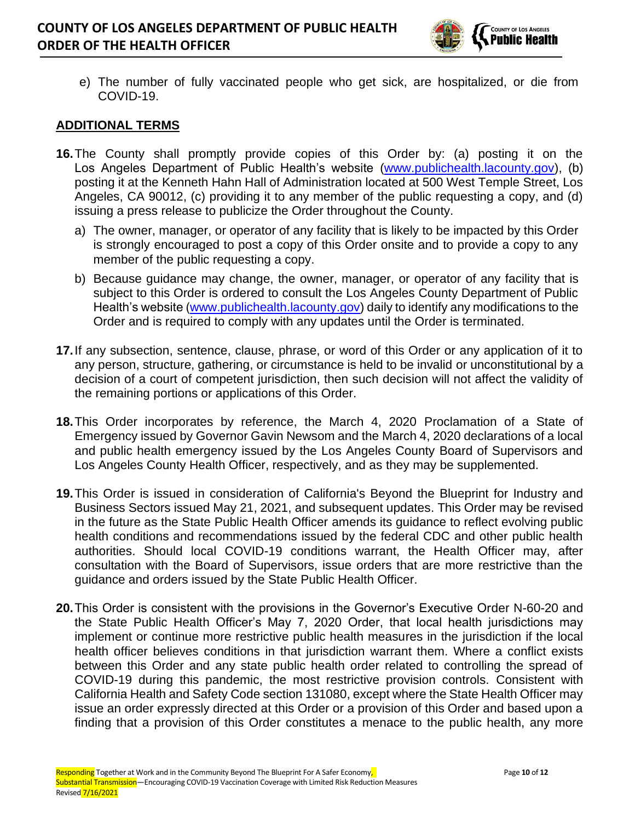

e) The number of fully vaccinated people who get sick, are hospitalized, or die from COVID-19.

#### **ADDITIONAL TERMS**

- **16.**The County shall promptly provide copies of this Order by: (a) posting it on the Los Angeles Department of Public Health's website [\(www.publichealth.lacounty.gov\)](http://www.publichealth.lacounty.gov/), (b) posting it at the Kenneth Hahn Hall of Administration located at 500 West Temple Street, Los Angeles, CA 90012, (c) providing it to any member of the public requesting a copy, and (d) issuing a press release to publicize the Order throughout the County.
	- a) The owner, manager, or operator of any facility that is likely to be impacted by this Order is strongly encouraged to post a copy of this Order onsite and to provide a copy to any member of the public requesting a copy.
	- b) Because guidance may change, the owner, manager, or operator of any facility that is subject to this Order is ordered to consult the Los Angeles County Department of Public Health's website [\(www.publichealth.lacounty.gov\)](http://www.publichealth.lacounty.gov/) daily to identify any modifications to the Order and is required to comply with any updates until the Order is terminated.
- **17.**If any subsection, sentence, clause, phrase, or word of this Order or any application of it to any person, structure, gathering, or circumstance is held to be invalid or unconstitutional by a decision of a court of competent jurisdiction, then such decision will not affect the validity of the remaining portions or applications of this Order.
- **18.**This Order incorporates by reference, the March 4, 2020 Proclamation of a State of Emergency issued by Governor Gavin Newsom and the March 4, 2020 declarations of a local and public health emergency issued by the Los Angeles County Board of Supervisors and Los Angeles County Health Officer, respectively, and as they may be supplemented.
- **19.**This Order is issued in consideration of California's Beyond the Blueprint for Industry and Business Sectors issued May 21, 2021, and subsequent updates. This Order may be revised in the future as the State Public Health Officer amends its guidance to reflect evolving public health conditions and recommendations issued by the federal CDC and other public health authorities. Should local COVID-19 conditions warrant, the Health Officer may, after consultation with the Board of Supervisors, issue orders that are more restrictive than the guidance and orders issued by the State Public Health Officer.
- **20.**This Order is consistent with the provisions in the Governor's Executive Order N-60-20 and the State Public Health Officer's May 7, 2020 Order, that local health jurisdictions may implement or continue more restrictive public health measures in the jurisdiction if the local health officer believes conditions in that jurisdiction warrant them. Where a conflict exists between this Order and any state public health order related to controlling the spread of COVID-19 during this pandemic, the most restrictive provision controls. Consistent with California Health and Safety Code section 131080, except where the State Health Officer may issue an order expressly directed at this Order or a provision of this Order and based upon a finding that a provision of this Order constitutes a menace to the public health, any more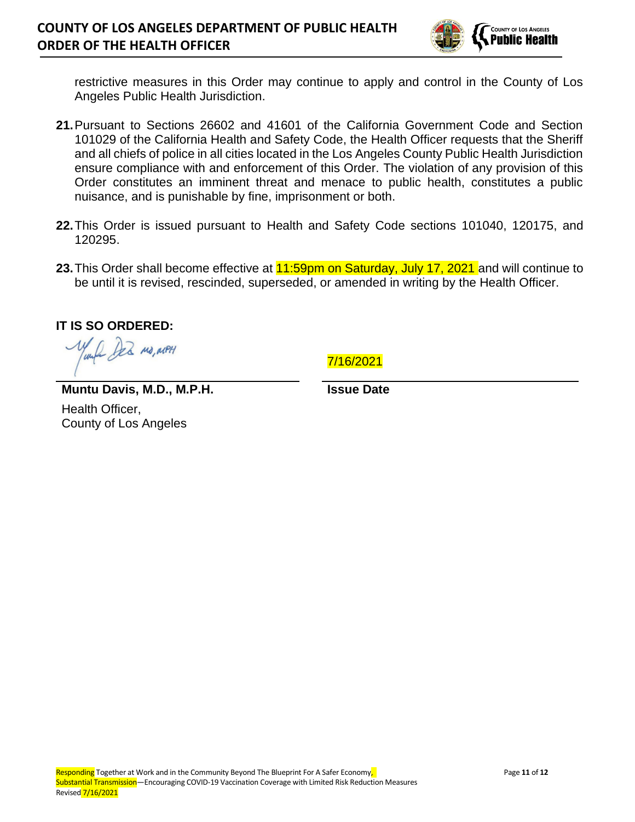

restrictive measures in this Order may continue to apply and control in the County of Los Angeles Public Health Jurisdiction.

- **21.**Pursuant to Sections 26602 and 41601 of the California Government Code and Section 101029 of the California Health and Safety Code, the Health Officer requests that the Sheriff and all chiefs of police in all cities located in the Los Angeles County Public Health Jurisdiction ensure compliance with and enforcement of this Order. The violation of any provision of this Order constitutes an imminent threat and menace to public health, constitutes a public nuisance, and is punishable by fine, imprisonment or both.
- **22.**This Order is issued pursuant to Health and Safety Code sections 101040, 120175, and 120295.
- 23. This Order shall become effective at **11:59pm on Saturday, July 17, 2021** and will continue to be until it is revised, rescinded, superseded, or amended in writing by the Health Officer.

**IT IS SO ORDERED:** 

1. AR MO, MPH

7/16/2021

**Muntu Davis, M.D., M.P.H.** Health Officer,

County of Los Angeles

**Issue Date**